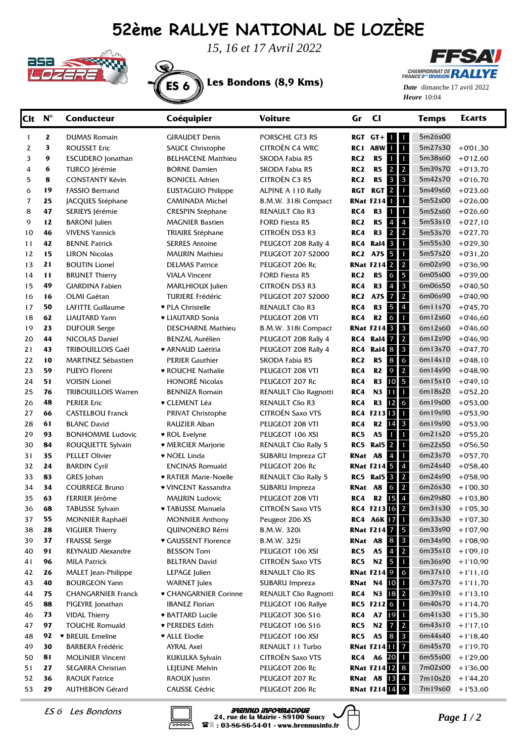## **52ème RALLYE NATIONAL DE LOZÈRE**



*15, 16 et 17 Avril 2022*





Heure 10:04 *Date* dimanche 17 avril 2022

| <b>Clt</b> | $\mathbf{N}^\circ$ | <b>Conducteur</b>          | Coéquipier                             | <b>Voiture</b>              | Gr              | $\mathbf{C}$                                                | <b>Temps</b> | Ecarts      |
|------------|--------------------|----------------------------|----------------------------------------|-----------------------------|-----------------|-------------------------------------------------------------|--------------|-------------|
| 1          | 2                  | <b>DUMAS Romain</b>        | <b>GIRAUDET Denis</b>                  | PORSCHE GT3 RS              |                 | $RGT$ $GT+$<br>$1 \mid 1$                                   | 5m26s00      |             |
| 2          | 3                  | <b>ROUSSET Eric</b>        | <b>SAUCE Christophe</b>                | CITROËN C4 WRC              |                 | $\mathbf{1}$<br>RC1 A8W<br>$\blacksquare$                   | 5m27s30      | $+0'01,30$  |
| 3          | 9                  | <b>ESCUDERO</b> Jonathan   | <b>BELHACENE Matthieu</b>              | SKODA Fabia R5              | RC <sub>2</sub> | $\mathbf{1}$<br>R5<br>П                                     | 5m38s60      | $+0'12,60$  |
| 4          | 6                  | TURCO Jérémie              | <b>BORNE Damien</b>                    | SKODA Fabia R5              | RC <sub>2</sub> | $\overline{2}$<br>R5<br>$2^{\circ}$                         | 5m39s70      | $+0'13,70$  |
| 5          | 8                  | <b>CONSTANTY Kévin</b>     | <b>BONICEL Adrien</b>                  | <b>CITROËN C3 R5</b>        | RC <sub>2</sub> | $\mathbf{3}$<br>R5<br>$\mathbf{3}$                          | 5m42s70      | $+0.16, 70$ |
| 6          | 19                 | <b>FASSIO Bertrand</b>     | <b>EUSTAGUIO Philippe</b>              | ALPINE A 110 Rally          | <b>RGT</b>      | $\mathbf{1}$<br>$\mathbf{2}$<br>RGT                         | 5m49s60      | $+0'23,60$  |
| 7          | 25                 | JACQUES Stéphane           | <b>CAMINADA Michel</b>                 | B.M.W. 318i Compact         |                 | $\mathbf{1}$<br><b>RNat F214</b>                            | 5m52s00      | $+0'26,00$  |
| 8          | 47                 | SERIEYS Jérémie            | <b>CRESPIN Stéphane</b>                | RENAULT Clio R3             | RC4             | $\mathbf{1}$<br>R <sub>3</sub><br>1                         | 5m52s60      | $+0'26,60$  |
| 9          | 12                 | <b>BARONI</b> Julien       | <b>MAGNIER Bastien</b>                 | FORD Fiesta R5              | RC <sub>2</sub> | $\pmb{4}$<br>R5<br>$\overline{4}$                           | 5m53s10      | $+0'27,10$  |
| 10         | 46                 | <b>VIVENS Yannick</b>      | <b>TRIAIRE Stéphane</b>                | CITROËN DS3 R3              | RC4             | $\overline{2}$<br>$\overline{2}$<br>R <sub>3</sub>          | 5m53s70      | $+0'27,70$  |
| 11         | 42                 | <b>BENNE Patrick</b>       | <b>SERRES Antoine</b>                  | PEUGEOT 208 Rally 4         | RC4             | $\mathbf{1}$<br><b>Ral4</b> 3                               | 5m55s30      | $+0'29,30$  |
| 12         | 15                 | <b>LIRON Nicolas</b>       | <b>MAURIN Mathieu</b>                  | <b>PEUGEOT 207 S2000</b>    | RC2             | $\mathbf{1}$<br>A7S 5                                       | 5m57s20      | $+0'31,20$  |
| 13         | 21                 | <b>BOUTIN Lionel</b>       | <b>DELMAS Patrice</b>                  | PEUGEOT 206 Rc              |                 | $\overline{2}$<br><b>RNat F214 2</b>                        | 6m02s90      | $+0'36,90$  |
| 14         | 11                 | <b>BRUNET Thierry</b>      | <b>VIALA Vincent</b>                   | <b>FORD Fiesta R5</b>       | RC <sub>2</sub> | 5<br>$\mathsf 6$<br>R5                                      | 6m05s00      | $+0'39,00$  |
| 15         | 49                 | <b>GIARDINA Fabien</b>     | MARLHIOUX Julien                       | CITROËN DS3 R3              | RC4             | $\overline{\mathbf{3}}$<br>R <sub>3</sub><br>$\overline{4}$ | 6m06s50      | $+0'40,50$  |
| 16         | 16                 | OLMI Gaëtan                | <b>TURIERE Frédéric</b>                | <b>PEUGEOT 207 S2000</b>    | RC <sub>2</sub> | $\overline{2}$<br><b>A7S</b><br>$\overline{7}$              | 6m06s90      | $+0'40,90$  |
| 17         | 50                 | <b>LAFITTE Guillaume</b>   | ♥ PLA Christelle                       | <b>RENAULT Clio R3</b>      | RC4             | $\overline{4}$<br>R <sub>3</sub><br>5                       | 6m11s70      | $+0'45,70$  |
| 18         | 62                 | <b>LIAUTARD Yann</b>       | • LIAUTARD Sonia                       | PEUGEOT 208 VTI             | RC4             | $\mathbf{1}$<br>$\sigma$<br>R2                              | 6m12s60      | $+0'46,60$  |
| 19         | 23                 | <b>DUFOUR Serge</b>        | <b>DESCHARNE Mathieu</b>               | B.M.W. 318i Compact         |                 | $\overline{\mathbf{3}}$<br><b>RNat F214 3</b>               | 6m12s60      | $+0'46,60$  |
| 20         | 44                 | NICOLAS Daniel             | <b>BENZAL Aurélien</b>                 | PEUGEOT 208 Rally 4         | RC4             | $\overline{2}$<br>Ral4 7                                    | 6m12s90      | $+0'46,90$  |
| 21         | 43                 | <b>TRIBOUILLOIS Gaël</b>   | ♥ ARNAUD Laëtitia                      | PEUGEOT 208 Rally 4         | RC4             | $\overline{\mathbf{3}}$<br><b>Ral4 8</b>                    | 6m13s70      | $+0'47,70$  |
| 22         | 10                 | <b>MARTINEZ Sébastien</b>  | <b>PERIER Gauthier</b>                 | SKODA Fabia R5              | RC <sub>2</sub> | $\overline{6}$<br>R5<br>$\bf8$                              | 6m14s10      | $+0'48,10$  |
| 23         | 59                 | <b>PUEYO Florent</b>       | <b>v ROUCHE Nathalie</b>               | PEUGEOT 208 VTI             | RC4             | $\overline{2}$<br>$\mathsf{9}$<br>R2                        | 6m14s90      | $+0'48,90$  |
| 24         | 51                 | <b>VOISIN Lionel</b>       | HONORÉ Nicolas                         | PEUGEOT 207 Rc              | RC4             | 5<br>R <sub>3</sub><br>10                                   | 6m15s10      | $+0'49,10$  |
| 25         | 76                 | <b>TRIBOUILLOIS Warren</b> | <b>BENNIZA Romain</b>                  | RENAULT Clio Ragnotti       | RC4             | $\mathbf{1}$<br>N3<br>11                                    | 6m18s20      | $+0'52,20$  |
| 26         | 48                 | <b>PERIER Eric</b>         | ▼ CLEMENT Léa                          | <b>RENAULT Clio R3</b>      | RC4             | $\overline{6}$<br>12<br>R <sub>3</sub>                      | 6m19s00      | $+0'53,00$  |
| 27         | 66                 | <b>CASTELBOU Franck</b>    | PRIVAT Christophe                      | <b>CITROËN Saxo VTS</b>     |                 | $\mathbf{1}$<br>RC4 F21313                                  | 6m19s90      | $+0'53,90$  |
| 28         | 61                 | <b>BLANC David</b>         | RAUZIER Alban                          | PEUGEOT 208 VTI             | RC4             | $\mathbf{3}$<br>14<br>R <sub>2</sub>                        | 6m19s90      | $+0'53,90$  |
| 29         | 93                 | <b>BONHOMME Ludovic</b>    | ▼ ROL Evelyne                          | PEUGEOT 106 XSI             | RC5             | $\mathbf{1}$<br>A <sub>5</sub><br>-1                        | 6m21s20      | $+0'55,20$  |
| 30         | 84                 | ROUQUETTE Sylvain          | $\blacktriangleright$ MERCIER Marjorie | <b>RENAULT Clio Rally 5</b> | RC5             | <b>Ral5</b> 2<br>$\mathbf{1}$                               | 6m22s50      | $+0'56,50$  |
| 31         | 35                 | <b>PELLET Olivier</b>      | ♥ NOEL Linda                           | SUBARU Impreza GT           | RNat            | $\mathbf{1}$<br>$\boldsymbol{4}$<br>A8                      | 6m23s70      | $+0'57,70$  |
| 32         | 24                 | <b>BARDIN Cyril</b>        | <b>ENCINAS Romuald</b>                 | PEUGEOT 206 Rc              |                 | $\overline{4}$<br><b>RNat F214 5</b>                        | 6m24s40      | $+0'58,40$  |
| 33         | 83                 | GRES Johan                 | <b>• RATIER Marie-Noelle</b>           | <b>RENAULT Clio Rally 5</b> | RC5             | <b>Ral5</b> 3<br>$\overline{2}$                             | 6m24s90      | $+0'58,90$  |
| 34         | 34                 | <b>COURREGE Bruno</b>      | ♥ VINCENT Kassandra                    | SUBARU Impreza              | RNat            | $\overline{2}$<br>6<br>A8                                   | 6m26s30      | $+1'00,30$  |
| 35         | 63                 | FERRIER Jérôme             | <b>MAURIN Ludovic</b>                  | PEUGEOT 208 VTI             | RC4             | $15 \overline{\phantom{a}}4$<br>R <sub>2</sub>              | 6m29s80      | $+1'03,80$  |
| 36         | 68                 | <b>TABUSSE Sylvain</b>     | ▼ TABUSSE Manuela                      | <b>CITROEN Saxo VTS</b>     |                 | RC4 F213 16 2                                               | 6m31s30      | $+1'05,30$  |
| 37         | 55                 | <b>MONNIER Raphaël</b>     | <b>MONNIER Anthony</b>                 | Peugeot 206 XS              |                 | RC4 A6K 17 1                                                | 6m33s30      | $+1'07,30$  |
| 38         | 28                 | <b>VIGUIER Thierry</b>     | QUINONERO Rémi                         | B.M.W. 320i                 |                 | <b>RNat F214 7 5</b>                                        | 6m33s90      | $+1'07,90$  |
| 39         | 37                 | <b>FRAISSE Serge</b>       | <b>v</b> GAUSSENT Florence             | B.M.W. 325i                 |                 | $\overline{\mathbf{3}}$<br>RNat A8<br>8                     | 6m34s90      | $+1'08,90$  |
| 40         | 91                 | REYNAUD Alexandre          | <b>BESSON Tom</b>                      | PEUGEOT 106 XSI             | RC5             | $\mathbf{2}$<br><b>A5</b><br>$\overline{4}$                 | 6m35s10      | $+1'09,10$  |
| 41         | 96                 | MILA Patrick               | <b>BELTRAN David</b>                   | <b>CITROËN Saxo VTS</b>     | RC5             | N2<br>5 <sub>1</sub><br>$\mathbf{1}$                        | 6m36s90      | $+1'10,90$  |
| 42         | 26                 | <b>MALET</b> Jean-Philippe | LEPAGE Julien                          | <b>RENAULT Clio RS</b>      |                 | <b>RNat F214 9 6</b>                                        | 6m37s10      | $+1'11,10$  |
| 43         | 40                 | <b>BOURGEON Yann</b>       | <b>WARNET</b> Jules                    | SUBARU Impreza              |                 | <b>RNat N4 10</b><br>$\blacksquare$                         | 6m37s70      | $+1'11,70$  |
| 44         | 75                 | <b>CHANGARNIER Franck</b>  | ♥ CHANGARNIER Corinne                  | RENAULT Clio Ragnotti       | RC4             | N3 18 2                                                     | 6m39s10      | $+1'13,10$  |
| 45         | 88                 | PIGEYRE Jonathan           | <b>IBANEZ Florian</b>                  | PEUGEOT 106 Rallye          |                 | RC5 F212 6 1                                                | 6m40s70      | $+1'14,70$  |
| 46         | 73                 | <b>VIDAL Thierry</b>       | <b>* BATTARD Lucile</b>                | PEUGEOT 306 S16             | RC4             | A7 19 1                                                     | 6m41s30      | $+1'15,30$  |
| 47         | 97                 | <b>TOUCHE Romuald</b>      | ♥ PEREDES Edith                        | PEUGEOT 106 S16             | RC5             | N2<br>$\overline{2}$<br>$\overline{7}$                      | 6m43s10      | $+1'17,10$  |
| 48         | 92                 | <b>v</b> BREUIL Emeline    | <b>v</b> ALLE Elodie                   | PEUGEOT 106 XSI             | RC5             | <b>A5</b><br>$\overline{\mathbf{3}}$<br>8                   | 6m44s40      | $+1'18,40$  |
| 49         | 30                 | <b>BARBERA Frédéric</b>    | <b>AYRAL Axel</b>                      | RENAULT 11 Turbo            |                 | <b>RNat F214 11 7</b>                                       | 6m45s70      | $+1'19,70$  |
| 50         | 81                 | <b>MOLINIER Vincent</b>    | <b>KUKULKA Sylvain</b>                 | CITROËN Saxo VTS            | RC4             | A6 20 1                                                     | 6m55s00      | $+1'29,00$  |
| 51         | 27                 | SEGARRA Christian          | LEJEUNE Melvin                         | PEUGEOT 206 Rc              |                 | <b>RNat F21412 8</b>                                        | 7m02s00      | $+1'36,00$  |
| 52         | 36                 | RAOUX Patrice              | RAOUX Justin                           | PEUGEOT 207 Rc              |                 | <b>RNat A8 13 4</b>                                         | 7m10s20      | $+1'44,20$  |
| 53         | 29                 | <b>AUTHEBON Gérard</b>     | <b>CAUSSE Cédric</b>                   | PEUGEOT 206 Rc              |                 | <b>RNat F214 14 9</b>                                       | 7m19s60      | $+1'53,60$  |